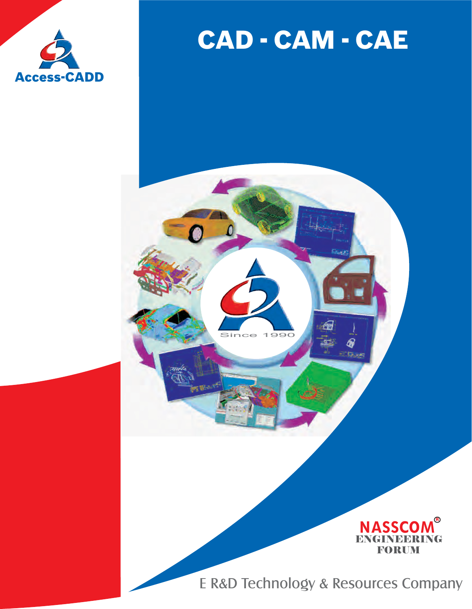

# CAD - CAM - CAE

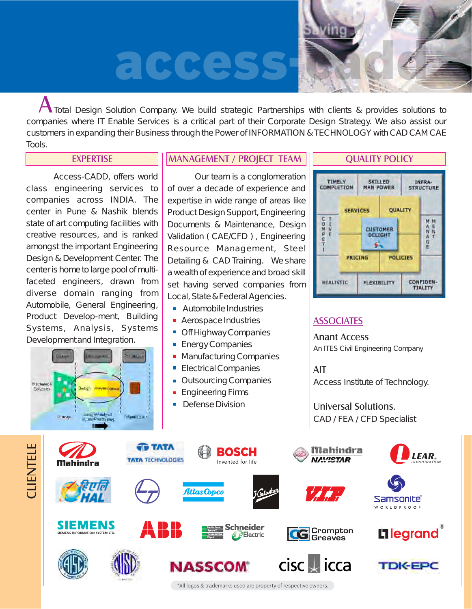# acces



A Total Design Solution Company. We build strategic Partnerships with clients & provides solutions to companies where IT Enable Services is a critical part of their Corporate Design Strategy. We also assist our customers in expanding their Business through the Power of INFORMATION & TECHNOLOGY with CAD CAM CAE Tools.

#### EXPERTISE **MANAGEMENT / PROJECT TEAM ||** QUALITY POLICY

Access-CADD, offers world class engineering services to companies across INDIA. The center in Pune & Nashik blends state of art computing facilities with creative resources, and is ranked amongst the important Engineering Design & Development Center. The center is home to large pool of multifaceted engineers, drawn from diverse domain ranging from Automobile, General Engineering, Product Develop-ment, Building Systems, Analysis, Systems Development and Integration.

Design/Analysia

Mont rouse

**Machanica** Solutions

Conrept

Our team is a conglomeration of over a decade of experience and expertise in wide range of areas like Product Design Support, Engineering Documents & Maintenance, Design Validation ( CAE/CFD ) , Engineering Resource Management, Steel Detailing & CAD Training. We share a wealth of experience and broad skill set having served companies from Local, State & Federal Agencies.

- **Automobile Industries**
- **Aerospace Industries**
- $\blacksquare$ Off Highway Companies
- **Energy Companies**
- **Manufacturing Companies**
- **Electrical Companies**
- **Outsourcing Companies**
- **Engineering Firms**
- **Defense Division**



## **ASSOCIATES**

Anant Access An ITES Civil Engineering Company

AIT Access Institute of Technology.

Universal Solutions. CAD / FEA / CFD Specialist



\*All logos & trademarks used are property of respective owners.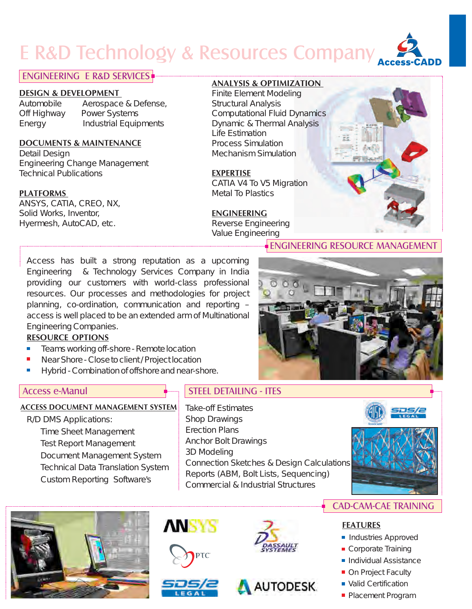# **E R&D Technology & Resources Company**

### ENGINEERING E R&D SERVICES

#### **DESIGN & DEVELOPMENT**

Automobile Aerospace & Defense, Off Highway Power Systems Energy Industrial Equipments

#### **DOCUMENTS & MAINTENANCE**

Detail Design Engineering Change Management Technical Publications

#### **PLATFORMS**

ANSYS, CATIA, CREO, NX, Solid Works, Inventor, Hyermesh, AutoCAD, etc.

#### **ANALYSIS & OPTIMIZATION**

Finite Element Modeling Structural Analysis Computational Fluid Dynamics Dynamic & Thermal Analysis Life Estimation Process Simulation Mechanism Simulation

#### **EXPERTISE**

CATIA V4 To V5 Migration Metal To Plastics

#### **ENGINEERING**

Reverse Engineering Value Engineering

Access has built a strong reputation as a upcoming Engineering & Technology Services Company in India providing our customers with world-class professional resources. Our processes and methodologies for project planning, co-ordination, communication and reporting – access is well placed to be an extended arm of Multinational Engineering Companies.

#### **RESOURCE OPTIONS**

- Teams working off-shore Remote location  $\overline{\mathbb{R}}$
- Near Shore Close to client / Project location
- Ē. Hybrid - Combination of offshore and near-shore.

### **ACCESS DOCUMENT MANAGEMENT SYSTEM**

R/D DMS Applications: Time Sheet Management Test Report Management Document Management System Technical Data Translation System Custom Reporting Software's

### Access e-Manul **STEEL DETAILING - ITES**

Take-off Estimates Shop Drawings Erection Plans Anchor Bolt Drawings 3D Modeling Connection Sketches & Design Calculations Reports (ABM, Bolt Lists, Sequencing) Commercial & Industrial Structures











**PTC** 





## CAD-CAM-CAE TRAINING

#### **FEATURES**

- Industries Approved
- Corporate Training
- **Individual Assistance**
- On Project Faculty
- Valid Certification
- **Placement Program**



ENGINEERING RESOURCE MANAGEMENT